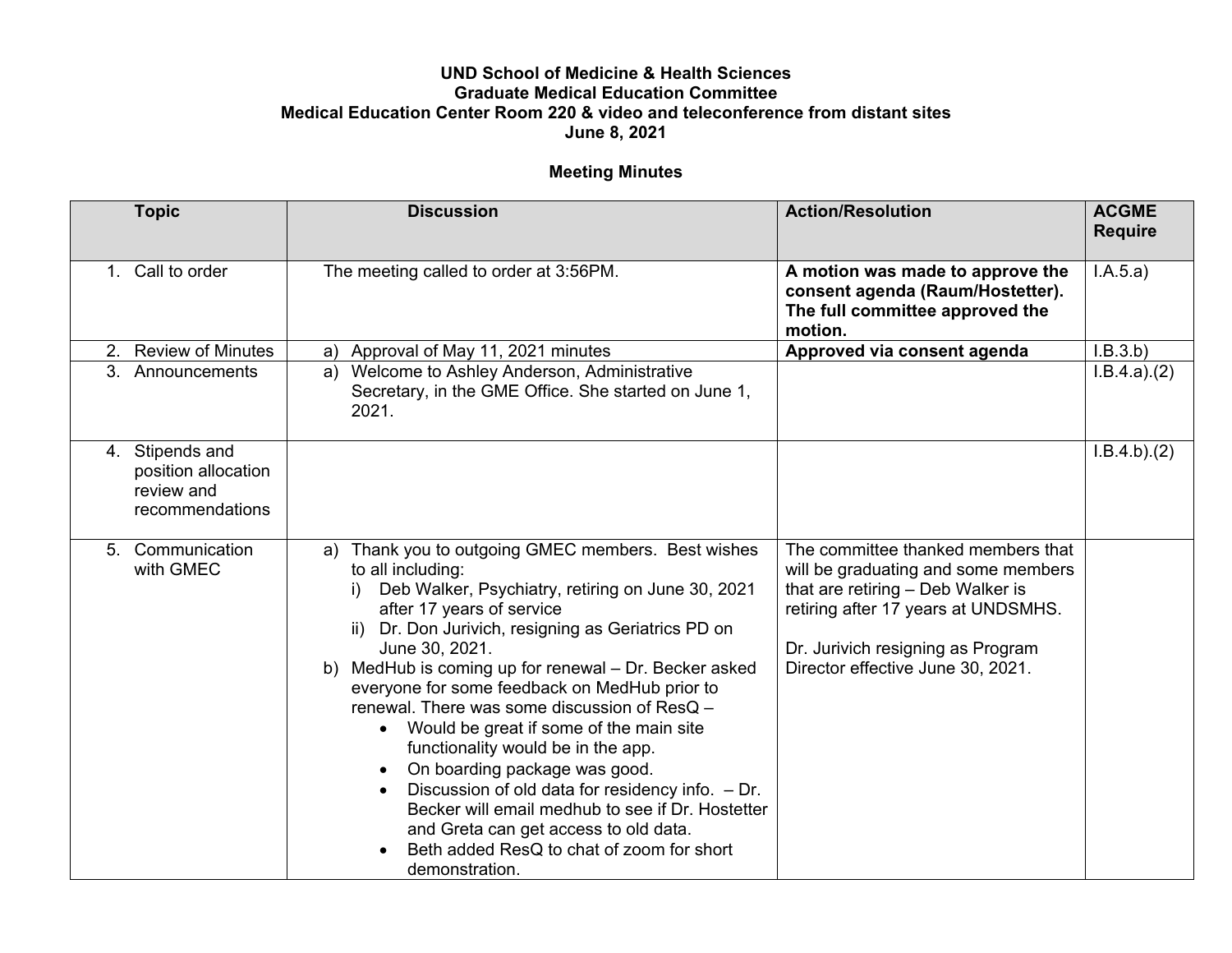## **UND School of Medicine & Health Sciences Graduate Medical Education Committee Medical Education Center Room 220 & video and teleconference from distant sites June 8, 2021**

## **Meeting Minutes**

| <b>Topic</b>                                                            | <b>Discussion</b>                                                                                                                                                                                                                                                                                                                                                                                                                                                                                                                                                                                                                                                                                                                                      | <b>Action/Resolution</b>                                                                                                                                                                                                        | <b>ACGME</b><br><b>Require</b> |
|-------------------------------------------------------------------------|--------------------------------------------------------------------------------------------------------------------------------------------------------------------------------------------------------------------------------------------------------------------------------------------------------------------------------------------------------------------------------------------------------------------------------------------------------------------------------------------------------------------------------------------------------------------------------------------------------------------------------------------------------------------------------------------------------------------------------------------------------|---------------------------------------------------------------------------------------------------------------------------------------------------------------------------------------------------------------------------------|--------------------------------|
| 1. Call to order                                                        | The meeting called to order at 3:56PM.                                                                                                                                                                                                                                                                                                                                                                                                                                                                                                                                                                                                                                                                                                                 | A motion was made to approve the<br>consent agenda (Raum/Hostetter).<br>The full committee approved the<br>motion.                                                                                                              | I.A.5.a)                       |
| <b>Review of Minutes</b><br>2.                                          | Approval of May 11, 2021 minutes<br>a)                                                                                                                                                                                                                                                                                                                                                                                                                                                                                                                                                                                                                                                                                                                 | Approved via consent agenda                                                                                                                                                                                                     | I.B.3.b)                       |
| 3. Announcements                                                        | Welcome to Ashley Anderson, Administrative<br>a)<br>Secretary, in the GME Office. She started on June 1,<br>2021.                                                                                                                                                                                                                                                                                                                                                                                                                                                                                                                                                                                                                                      |                                                                                                                                                                                                                                 | I.B.4.a)(2)                    |
| 4. Stipends and<br>position allocation<br>review and<br>recommendations |                                                                                                                                                                                                                                                                                                                                                                                                                                                                                                                                                                                                                                                                                                                                                        |                                                                                                                                                                                                                                 | I.B.4.b)(2)                    |
| 5. Communication<br>with GMEC                                           | Thank you to outgoing GMEC members. Best wishes<br>a)<br>to all including:<br>Deb Walker, Psychiatry, retiring on June 30, 2021<br>after 17 years of service<br>Dr. Don Jurivich, resigning as Geriatrics PD on<br>ii)<br>June 30, 2021.<br>MedHub is coming up for renewal - Dr. Becker asked<br>b)<br>everyone for some feedback on MedHub prior to<br>renewal. There was some discussion of ResQ -<br>Would be great if some of the main site<br>functionality would be in the app.<br>On boarding package was good.<br>$\bullet$<br>Discussion of old data for residency info. $-Dr$ .<br>Becker will email medhub to see if Dr. Hostetter<br>and Greta can get access to old data.<br>Beth added ResQ to chat of zoom for short<br>demonstration. | The committee thanked members that<br>will be graduating and some members<br>that are retiring - Deb Walker is<br>retiring after 17 years at UNDSMHS.<br>Dr. Jurivich resigning as Program<br>Director effective June 30, 2021. |                                |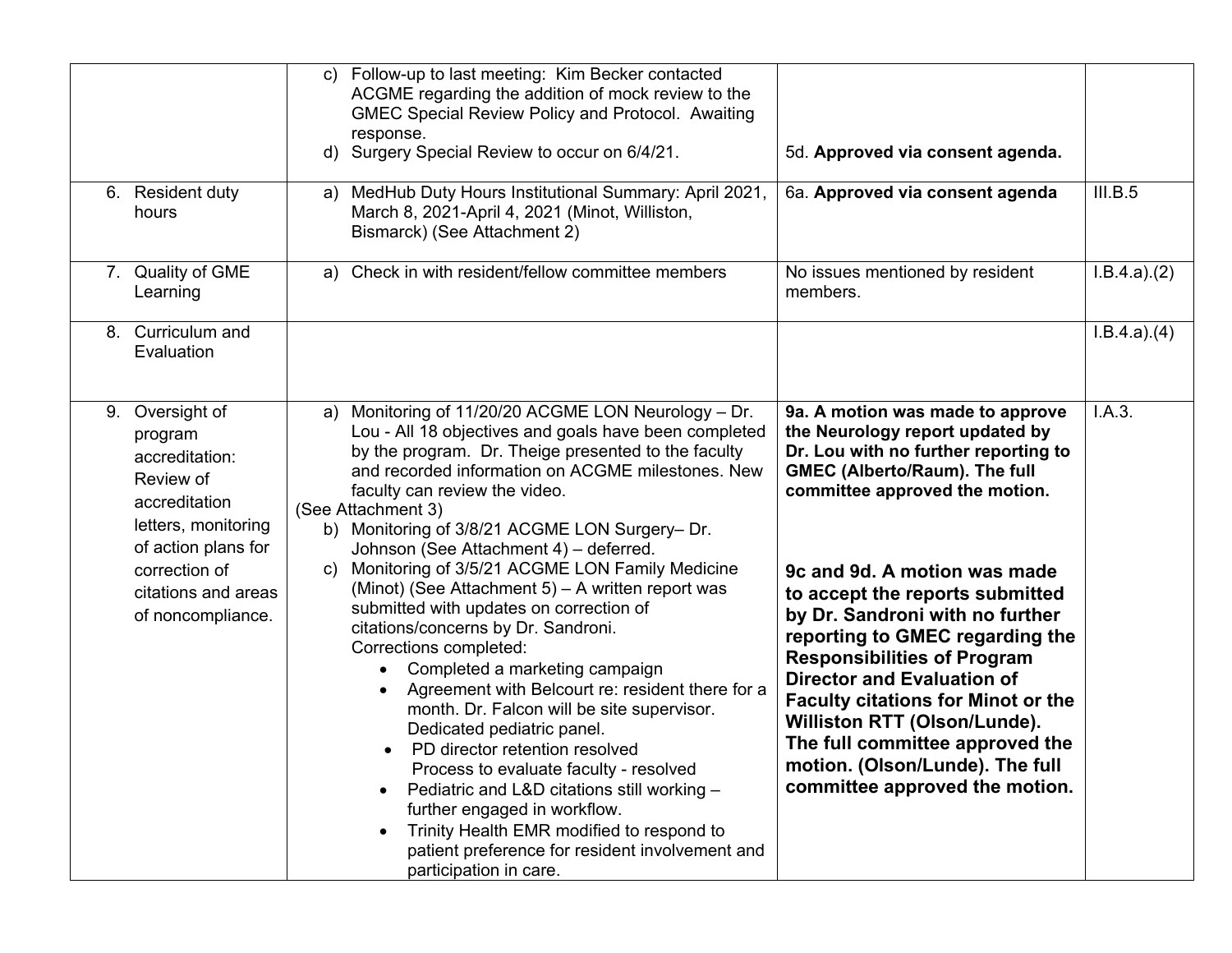|                                                                                                                                                                                       | Follow-up to last meeting: Kim Becker contacted<br>C)<br>ACGME regarding the addition of mock review to the<br><b>GMEC Special Review Policy and Protocol. Awaiting</b><br>response.<br>Surgery Special Review to occur on 6/4/21.<br>d)<br>MedHub Duty Hours Institutional Summary: April 2021,                                                                                                                                                                                                                                                                                                                                                                                                                                                                                                                                                                                                                                                                                                                                                               | 5d. Approved via consent agenda.                                                                                                                                                                                                                                                                                                                                                                                                                                                                                                                                                               | III.B.5     |
|---------------------------------------------------------------------------------------------------------------------------------------------------------------------------------------|----------------------------------------------------------------------------------------------------------------------------------------------------------------------------------------------------------------------------------------------------------------------------------------------------------------------------------------------------------------------------------------------------------------------------------------------------------------------------------------------------------------------------------------------------------------------------------------------------------------------------------------------------------------------------------------------------------------------------------------------------------------------------------------------------------------------------------------------------------------------------------------------------------------------------------------------------------------------------------------------------------------------------------------------------------------|------------------------------------------------------------------------------------------------------------------------------------------------------------------------------------------------------------------------------------------------------------------------------------------------------------------------------------------------------------------------------------------------------------------------------------------------------------------------------------------------------------------------------------------------------------------------------------------------|-------------|
| 6. Resident duty<br>hours                                                                                                                                                             | a)<br>March 8, 2021-April 4, 2021 (Minot, Williston,<br>Bismarck) (See Attachment 2)                                                                                                                                                                                                                                                                                                                                                                                                                                                                                                                                                                                                                                                                                                                                                                                                                                                                                                                                                                           | 6a. Approved via consent agenda                                                                                                                                                                                                                                                                                                                                                                                                                                                                                                                                                                |             |
| 7. Quality of GME<br>Learning                                                                                                                                                         | Check in with resident/fellow committee members<br>a)                                                                                                                                                                                                                                                                                                                                                                                                                                                                                                                                                                                                                                                                                                                                                                                                                                                                                                                                                                                                          | No issues mentioned by resident<br>members.                                                                                                                                                                                                                                                                                                                                                                                                                                                                                                                                                    | I.B.4.a)(2) |
| 8. Curriculum and<br>Evaluation                                                                                                                                                       |                                                                                                                                                                                                                                                                                                                                                                                                                                                                                                                                                                                                                                                                                                                                                                                                                                                                                                                                                                                                                                                                |                                                                                                                                                                                                                                                                                                                                                                                                                                                                                                                                                                                                | I.B.4.a)(4) |
| 9. Oversight of<br>program<br>accreditation:<br>Review of<br>accreditation<br>letters, monitoring<br>of action plans for<br>correction of<br>citations and areas<br>of noncompliance. | Monitoring of 11/20/20 ACGME LON Neurology - Dr.<br>a)<br>Lou - All 18 objectives and goals have been completed<br>by the program. Dr. Theige presented to the faculty<br>and recorded information on ACGME milestones. New<br>faculty can review the video.<br>(See Attachment 3)<br>b) Monitoring of 3/8/21 ACGME LON Surgery- Dr.<br>Johnson (See Attachment 4) - deferred.<br>Monitoring of 3/5/21 ACGME LON Family Medicine<br>C)<br>(Minot) (See Attachment 5) - A written report was<br>submitted with updates on correction of<br>citations/concerns by Dr. Sandroni.<br>Corrections completed:<br>Completed a marketing campaign<br>Agreement with Belcourt re: resident there for a<br>month. Dr. Falcon will be site supervisor.<br>Dedicated pediatric panel.<br>PD director retention resolved<br>Process to evaluate faculty - resolved<br>Pediatric and L&D citations still working -<br>further engaged in workflow.<br>Trinity Health EMR modified to respond to<br>patient preference for resident involvement and<br>participation in care. | 9a. A motion was made to approve<br>the Neurology report updated by<br>Dr. Lou with no further reporting to<br><b>GMEC (Alberto/Raum). The full</b><br>committee approved the motion.<br>9c and 9d. A motion was made<br>to accept the reports submitted<br>by Dr. Sandroni with no further<br>reporting to GMEC regarding the<br><b>Responsibilities of Program</b><br><b>Director and Evaluation of</b><br><b>Faculty citations for Minot or the</b><br>Williston RTT (Olson/Lunde).<br>The full committee approved the<br>motion. (Olson/Lunde). The full<br>committee approved the motion. | I.A.3.      |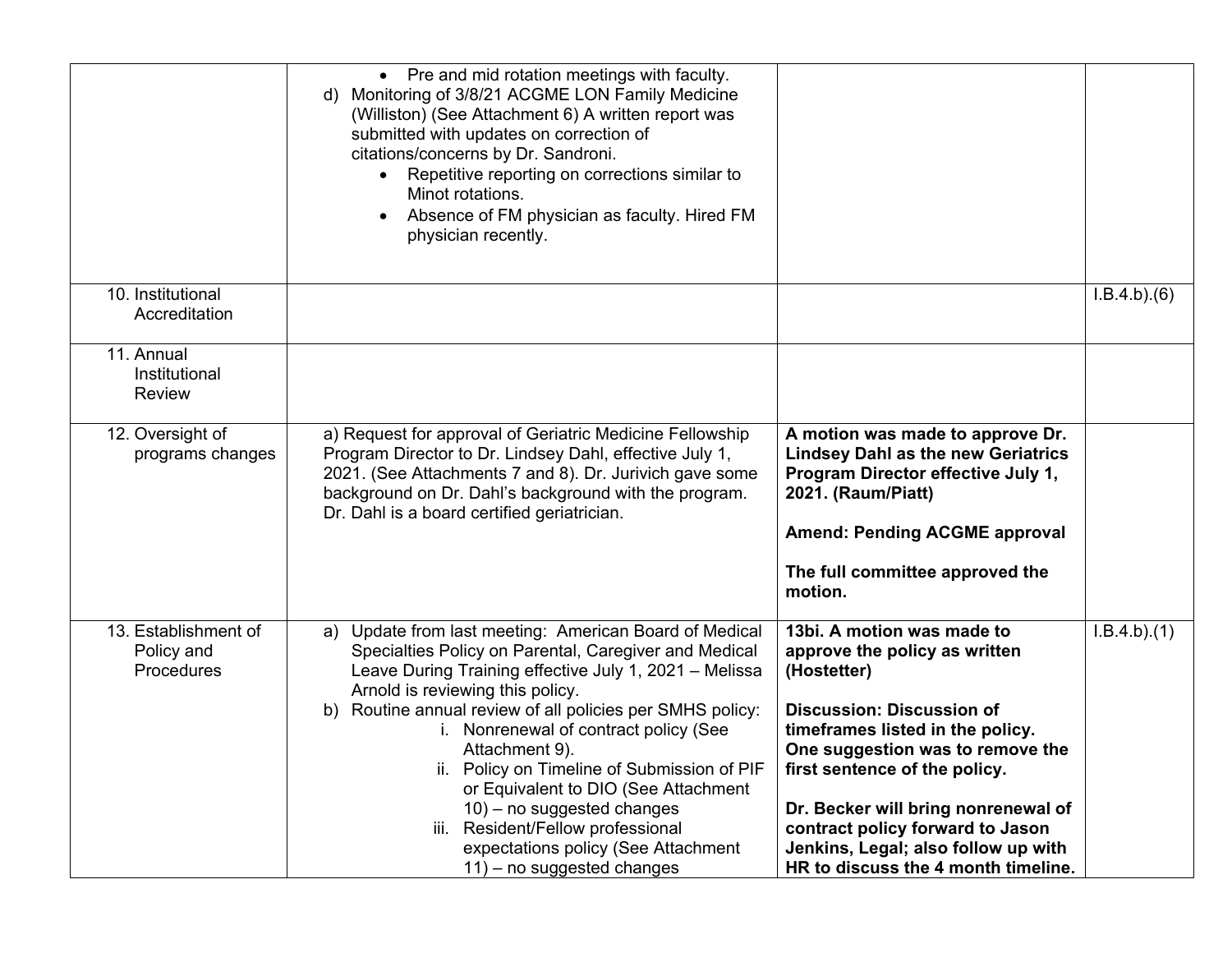|                                                         | • Pre and mid rotation meetings with faculty.<br>Monitoring of 3/8/21 ACGME LON Family Medicine<br>d)<br>(Williston) (See Attachment 6) A written report was<br>submitted with updates on correction of<br>citations/concerns by Dr. Sandroni.<br>Repetitive reporting on corrections similar to<br>Minot rotations.<br>Absence of FM physician as faculty. Hired FM<br>physician recently.                                                                                                                                                                                |                                                                                                                                                                                                                                                                                                                                                                                  |             |
|---------------------------------------------------------|----------------------------------------------------------------------------------------------------------------------------------------------------------------------------------------------------------------------------------------------------------------------------------------------------------------------------------------------------------------------------------------------------------------------------------------------------------------------------------------------------------------------------------------------------------------------------|----------------------------------------------------------------------------------------------------------------------------------------------------------------------------------------------------------------------------------------------------------------------------------------------------------------------------------------------------------------------------------|-------------|
| 10. Institutional<br>Accreditation                      |                                                                                                                                                                                                                                                                                                                                                                                                                                                                                                                                                                            |                                                                                                                                                                                                                                                                                                                                                                                  | I.B.4.b)(6) |
| 11. Annual<br>Institutional<br><b>Review</b>            |                                                                                                                                                                                                                                                                                                                                                                                                                                                                                                                                                                            |                                                                                                                                                                                                                                                                                                                                                                                  |             |
| 12. Oversight of<br>programs changes                    | a) Request for approval of Geriatric Medicine Fellowship<br>Program Director to Dr. Lindsey Dahl, effective July 1,<br>2021. (See Attachments 7 and 8). Dr. Jurivich gave some<br>background on Dr. Dahl's background with the program.<br>Dr. Dahl is a board certified geriatrician.                                                                                                                                                                                                                                                                                     | A motion was made to approve Dr.<br><b>Lindsey Dahl as the new Geriatrics</b><br>Program Director effective July 1,<br>2021. (Raum/Piatt)<br><b>Amend: Pending ACGME approval</b><br>The full committee approved the<br>motion.                                                                                                                                                  |             |
| 13. Establishment of<br>Policy and<br><b>Procedures</b> | Update from last meeting: American Board of Medical<br>a)<br>Specialties Policy on Parental, Caregiver and Medical<br>Leave During Training effective July 1, 2021 - Melissa<br>Arnold is reviewing this policy.<br>b) Routine annual review of all policies per SMHS policy:<br>i. Nonrenewal of contract policy (See<br>Attachment 9).<br>ii. Policy on Timeline of Submission of PIF<br>or Equivalent to DIO (See Attachment<br>$10$ ) – no suggested changes<br>iii. Resident/Fellow professional<br>expectations policy (See Attachment<br>11) - no suggested changes | 13bi. A motion was made to<br>approve the policy as written<br>(Hostetter)<br><b>Discussion: Discussion of</b><br>timeframes listed in the policy.<br>One suggestion was to remove the<br>first sentence of the policy.<br>Dr. Becker will bring nonrenewal of<br>contract policy forward to Jason<br>Jenkins, Legal; also follow up with<br>HR to discuss the 4 month timeline. | I.B.4.b)(1) |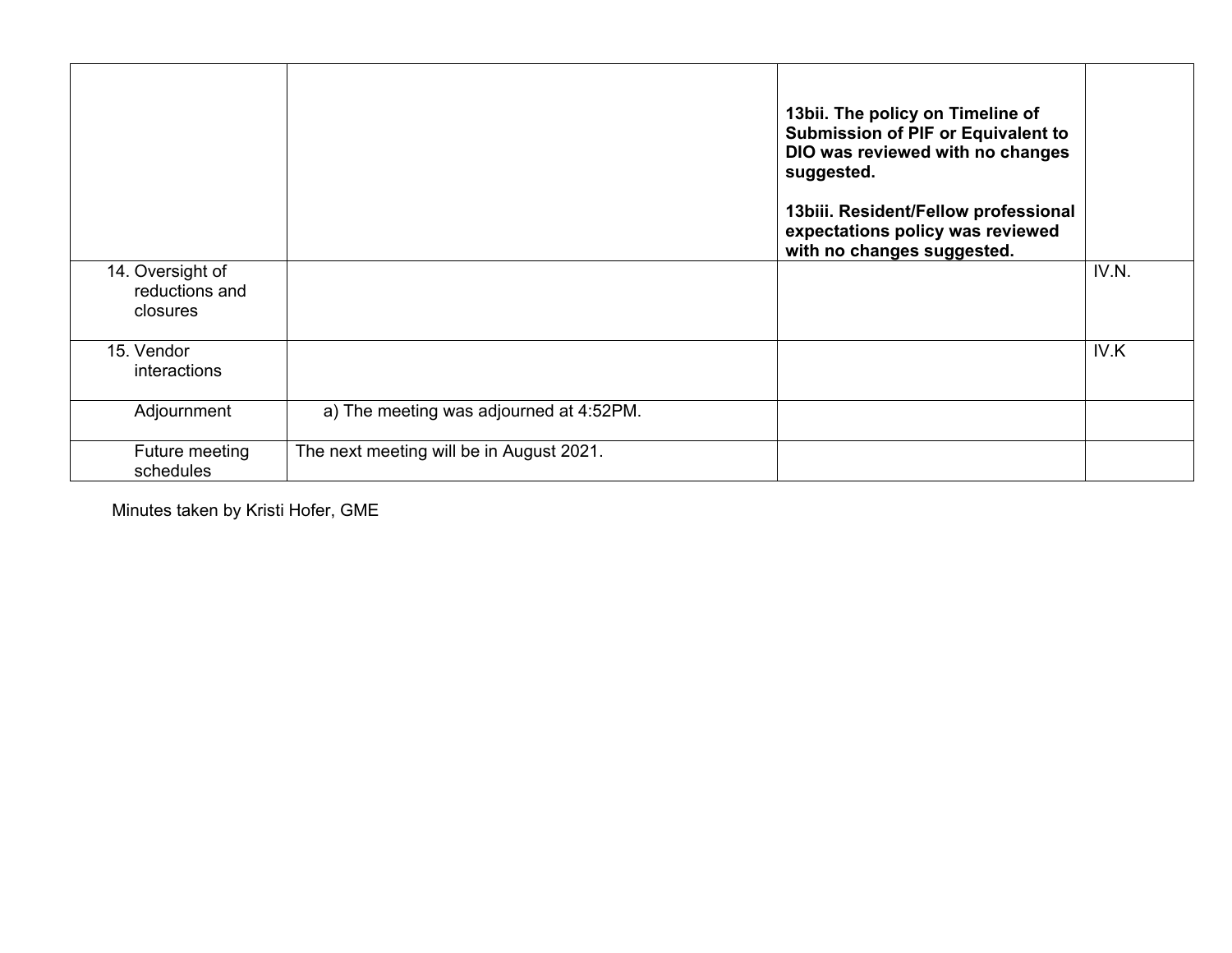|                                                |                                          | 13bii. The policy on Timeline of<br><b>Submission of PIF or Equivalent to</b><br>DIO was reviewed with no changes<br>suggested.<br>13biii. Resident/Fellow professional<br>expectations policy was reviewed<br>with no changes suggested. |       |
|------------------------------------------------|------------------------------------------|-------------------------------------------------------------------------------------------------------------------------------------------------------------------------------------------------------------------------------------------|-------|
| 14. Oversight of<br>reductions and<br>closures |                                          |                                                                                                                                                                                                                                           | IV.N. |
| 15. Vendor<br>interactions                     |                                          |                                                                                                                                                                                                                                           | IV.K  |
| Adjournment                                    | a) The meeting was adjourned at 4:52PM.  |                                                                                                                                                                                                                                           |       |
| Future meeting<br>schedules                    | The next meeting will be in August 2021. |                                                                                                                                                                                                                                           |       |

Minutes taken by Kristi Hofer, GME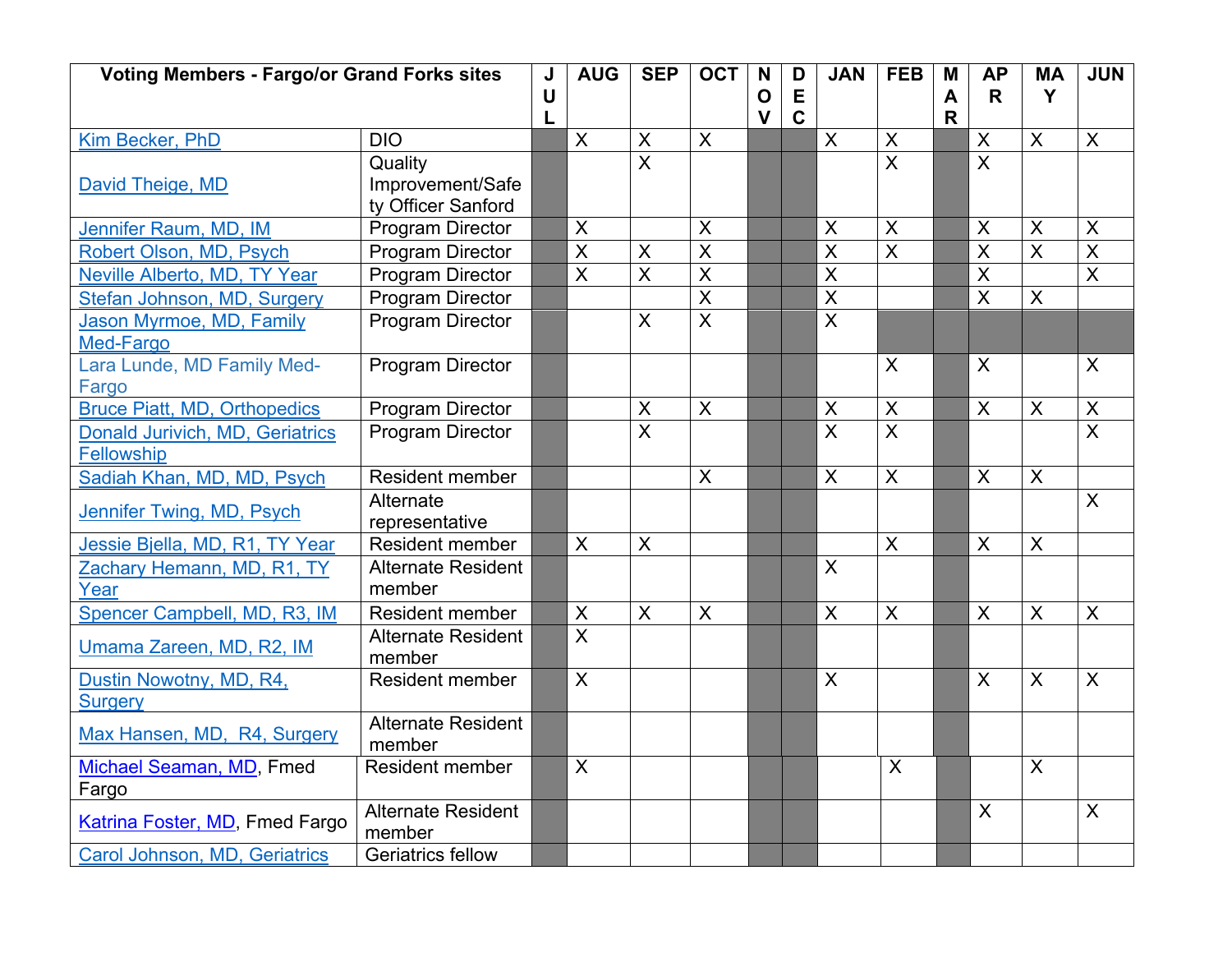| <b>Voting Members - Fargo/or Grand Forks sites</b> |                                          | J | <b>AUG</b>              | <b>SEP</b>                | <b>OCT</b>                | N           | D           | <b>JAN</b>                | <b>FEB</b>                                    | M            | <b>AP</b>                 | <b>MA</b>                 | <b>JUN</b>                |
|----------------------------------------------------|------------------------------------------|---|-------------------------|---------------------------|---------------------------|-------------|-------------|---------------------------|-----------------------------------------------|--------------|---------------------------|---------------------------|---------------------------|
|                                                    |                                          | U |                         |                           |                           | $\mathbf O$ | E           |                           |                                               | $\mathsf{A}$ | R.                        | Y                         |                           |
|                                                    | <b>DIO</b>                               | L | $\boldsymbol{X}$        | $\boldsymbol{\mathsf{X}}$ | $\sf X$                   | $\mathbf v$ | $\mathbf C$ | $\sf X$                   |                                               | $\mathsf{R}$ | $\sf X$                   | $\mathsf{X}$              | $\mathsf{X}$              |
| Kim Becker, PhD                                    |                                          |   |                         | $\overline{\mathsf{x}}$   |                           |             |             |                           | X                                             |              | $\overline{X}$            |                           |                           |
|                                                    | Quality<br>Improvement/Safe              |   |                         |                           |                           |             |             |                           | $\boldsymbol{\mathsf{X}}$                     |              |                           |                           |                           |
| David Theige, MD                                   | ty Officer Sanford                       |   |                         |                           |                           |             |             |                           |                                               |              |                           |                           |                           |
| Jennifer Raum, MD, IM                              | <b>Program Director</b>                  |   | X                       |                           | $\boldsymbol{\mathsf{X}}$ |             |             | $\boldsymbol{\mathsf{X}}$ | $\boldsymbol{\mathsf{X}}$                     |              | X                         | $\boldsymbol{\mathsf{X}}$ | $\pmb{\times}$            |
|                                                    | <b>Program Director</b>                  |   | $\overline{\mathsf{X}}$ | $\overline{\mathsf{X}}$   | $\overline{X}$            |             |             | $\overline{\mathsf{X}}$   | $\overline{\mathsf{x}}$                       |              | $\overline{\mathsf{X}}$   | $\overline{\mathsf{x}}$   | $\overline{\mathsf{X}}$   |
| Robert Olson, MD, Psych                            |                                          |   | $\overline{\mathsf{x}}$ | $\overline{\mathsf{x}}$   | $\overline{\mathsf{x}}$   |             |             | $\overline{\mathsf{x}}$   |                                               |              | $\overline{\mathsf{x}}$   |                           | $\overline{X}$            |
| Neville Alberto, MD, TY Year                       | Program Director                         |   |                         |                           | $\overline{\mathsf{X}}$   |             |             | $\overline{X}$            |                                               |              | $\overline{\mathsf{X}}$   |                           |                           |
| Stefan Johnson, MD, Surgery                        | <b>Program Director</b>                  |   |                         |                           |                           |             |             | $\overline{\mathsf{x}}$   |                                               |              |                           | $\boldsymbol{\mathsf{X}}$ |                           |
| Jason Myrmoe, MD, Family                           | <b>Program Director</b>                  |   |                         | X                         | $\overline{\mathsf{X}}$   |             |             |                           |                                               |              |                           |                           |                           |
| Med-Fargo<br>Lara Lunde, MD Family Med-            |                                          |   |                         |                           |                           |             |             |                           | $\boldsymbol{\mathsf{X}}$                     |              | X                         |                           | X                         |
|                                                    | <b>Program Director</b>                  |   |                         |                           |                           |             |             |                           |                                               |              |                           |                           |                           |
| Fargo<br><b>Bruce Piatt, MD, Orthopedics</b>       | <b>Program Director</b>                  |   |                         | X                         | $\overline{X}$            |             |             | $\boldsymbol{\mathsf{X}}$ |                                               |              | $\overline{X}$            | $\boldsymbol{\mathsf{X}}$ | $\mathsf X$               |
|                                                    |                                          |   |                         | $\overline{\mathsf{x}}$   |                           |             |             | $\overline{\mathsf{x}}$   | $\pmb{\mathsf{X}}$<br>$\overline{\mathsf{x}}$ |              |                           |                           | $\overline{\mathsf{x}}$   |
| Donald Jurivich, MD, Geriatrics<br>Fellowship      | <b>Program Director</b>                  |   |                         |                           |                           |             |             |                           |                                               |              |                           |                           |                           |
|                                                    | <b>Resident member</b>                   |   |                         |                           | $\sf X$                   |             |             | $\overline{\mathsf{X}}$   | $\overline{\mathsf{X}}$                       |              | $\sf X$                   | $\mathsf{X}$              |                           |
| Sadiah Khan, MD, MD, Psych                         |                                          |   |                         |                           |                           |             |             |                           |                                               |              |                           |                           |                           |
| Jennifer Twing, MD, Psych                          | Alternate                                |   |                         |                           |                           |             |             |                           |                                               |              |                           |                           | $\boldsymbol{\mathsf{X}}$ |
|                                                    | representative<br><b>Resident member</b> |   | $\overline{\mathsf{X}}$ | $\mathsf{X}$              |                           |             |             |                           | $\boldsymbol{\mathsf{X}}$                     |              | $\boldsymbol{\mathsf{X}}$ | $\boldsymbol{\mathsf{X}}$ |                           |
| Jessie Bjella, MD, R1, TY Year                     |                                          |   |                         |                           |                           |             |             |                           |                                               |              |                           |                           |                           |
| Zachary Hemann, MD, R1, TY                         | <b>Alternate Resident</b><br>member      |   |                         |                           |                           |             |             | $\boldsymbol{\mathsf{X}}$ |                                               |              |                           |                           |                           |
| Year                                               |                                          |   |                         |                           |                           |             |             |                           |                                               |              |                           |                           |                           |
| Spencer Campbell, MD, R3, IM                       | Resident member                          |   | X                       | $\boldsymbol{X}$          | $\boldsymbol{X}$          |             |             | $\boldsymbol{\mathsf{X}}$ | $\boldsymbol{\mathsf{X}}$                     |              | X                         | $\boldsymbol{\mathsf{X}}$ | $\boldsymbol{\mathsf{X}}$ |
| Umama Zareen, MD, R2, IM                           | <b>Alternate Resident</b><br>member      |   | $\overline{X}$          |                           |                           |             |             |                           |                                               |              |                           |                           |                           |
| Dustin Nowotny, MD, R4,                            | <b>Resident member</b>                   |   | $\overline{X}$          |                           |                           |             |             | $\sf X$                   |                                               |              | $\overline{X}$            | $\overline{X}$            | $\mathsf{X}$              |
| <b>Surgery</b>                                     |                                          |   |                         |                           |                           |             |             |                           |                                               |              |                           |                           |                           |
|                                                    | <b>Alternate Resident</b>                |   |                         |                           |                           |             |             |                           |                                               |              |                           |                           |                           |
| Max Hansen, MD, R4, Surgery                        | member                                   |   |                         |                           |                           |             |             |                           |                                               |              |                           |                           |                           |
| Michael Seaman, MD, Fmed                           | <b>Resident member</b>                   |   | $\overline{X}$          |                           |                           |             |             |                           | $\mathsf{X}$                                  |              |                           | $\sf X$                   |                           |
| Fargo                                              |                                          |   |                         |                           |                           |             |             |                           |                                               |              |                           |                           |                           |
| Katrina Foster, MD, Fmed Fargo                     | <b>Alternate Resident</b>                |   |                         |                           |                           |             |             |                           |                                               |              | $\sf X$                   |                           | $\sf X$                   |
|                                                    | member                                   |   |                         |                           |                           |             |             |                           |                                               |              |                           |                           |                           |
| Carol Johnson, MD, Geriatrics                      | <b>Geriatrics fellow</b>                 |   |                         |                           |                           |             |             |                           |                                               |              |                           |                           |                           |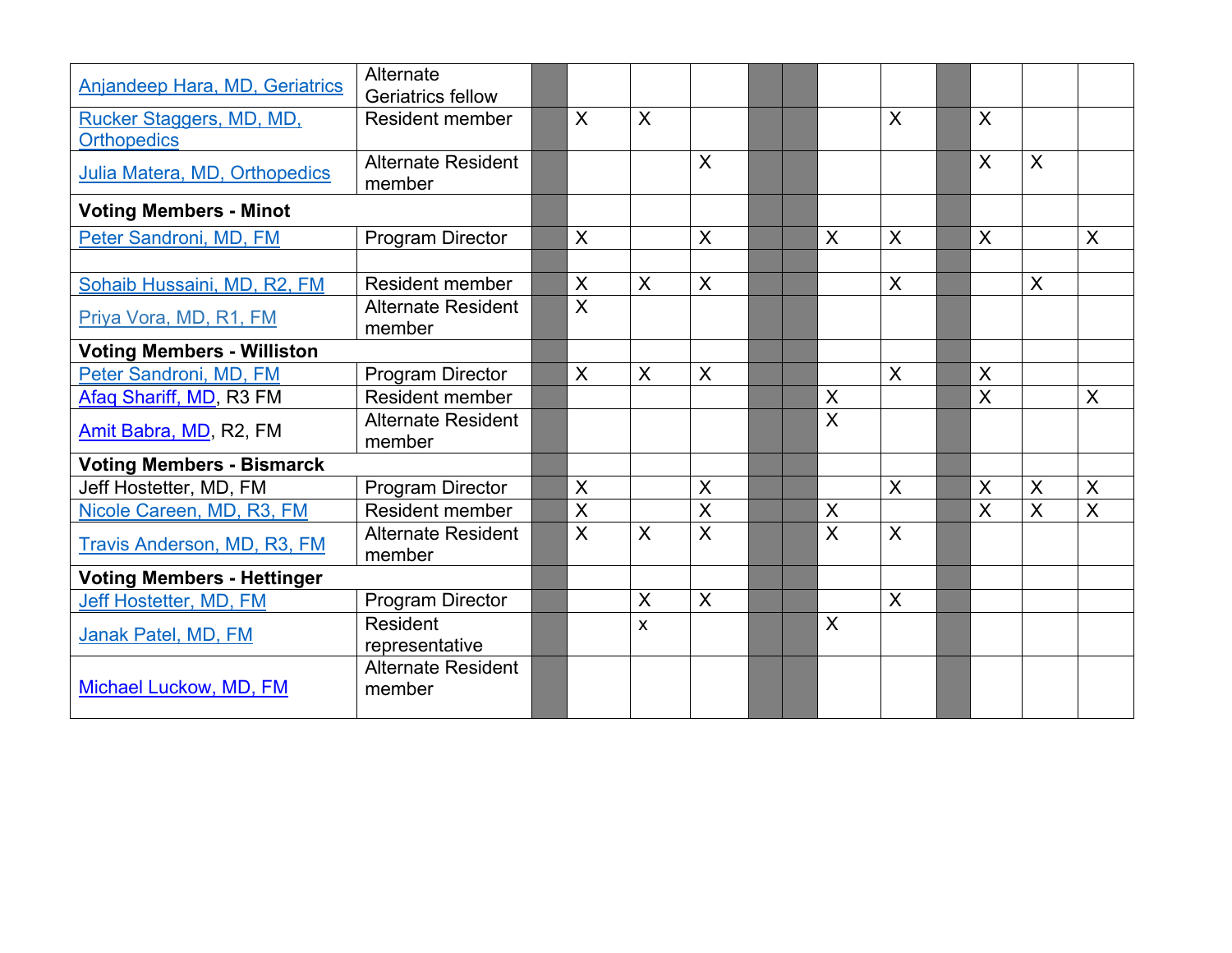| <b>Anjandeep Hara, MD, Geriatrics</b> | Alternate<br><b>Geriatrics fellow</b> |                |              |                           |  |                           |              |                         |                         |                         |
|---------------------------------------|---------------------------------------|----------------|--------------|---------------------------|--|---------------------------|--------------|-------------------------|-------------------------|-------------------------|
| Rucker Staggers, MD, MD,              | <b>Resident member</b>                | $\mathsf{X}$   | X            |                           |  |                           | $\mathsf{X}$ | $\sf X$                 |                         |                         |
| <b>Orthopedics</b>                    |                                       |                |              |                           |  |                           |              |                         |                         |                         |
| Julia Matera, MD, Orthopedics         | <b>Alternate Resident</b>             |                |              | $\sf X$                   |  |                           |              | $\sf X$                 | $\sf X$                 |                         |
|                                       | member                                |                |              |                           |  |                           |              |                         |                         |                         |
| <b>Voting Members - Minot</b>         |                                       |                |              |                           |  |                           |              |                         |                         |                         |
| Peter Sandroni, MD, FM                | <b>Program Director</b>               | $\sf X$        |              | $\boldsymbol{\mathsf{X}}$ |  | $\sf X$                   | $\mathsf{X}$ | $\sf X$                 |                         | $\sf X$                 |
|                                       |                                       |                |              |                           |  |                           |              |                         |                         |                         |
| Sohaib Hussaini, MD, R2, FM           | <b>Resident member</b>                | $\sf X$        | $\mathsf{X}$ | $\mathsf{X}$              |  |                           | $\sf X$      |                         | $\sf X$                 |                         |
| Priya Vora, MD, R1, FM                | <b>Alternate Resident</b><br>member   | $\overline{X}$ |              |                           |  |                           |              |                         |                         |                         |
| <b>Voting Members - Williston</b>     |                                       |                |              |                           |  |                           |              |                         |                         |                         |
| Peter Sandroni, MD, FM                | Program Director                      | $\mathsf{X}$   | $\mathsf{X}$ | $\sf X$                   |  |                           | $\mathsf{X}$ | $\sf X$                 |                         |                         |
| Afaq Shariff, MD, R3 FM               | <b>Resident member</b>                |                |              |                           |  | X                         |              | $\sf X$                 |                         | X                       |
| Amit Babra, MD, R2, FM                | <b>Alternate Resident</b><br>member   |                |              |                           |  | $\overline{\mathsf{X}}$   |              |                         |                         |                         |
| <b>Voting Members - Bismarck</b>      |                                       |                |              |                           |  |                           |              |                         |                         |                         |
| Jeff Hostetter, MD, FM                | Program Director                      | $\sf X$        |              | X                         |  |                           | $\sf X$      | X                       | X                       | X                       |
| Nicole Careen, MD, R3, FM             | Resident member                       | $\overline{X}$ |              | $\overline{\mathsf{x}}$   |  | $\boldsymbol{\mathsf{X}}$ |              | $\overline{\mathsf{X}}$ | $\overline{\mathsf{X}}$ | $\overline{\mathsf{X}}$ |
| <b>Travis Anderson, MD, R3, FM</b>    | <b>Alternate Resident</b>             | $\overline{X}$ | $\sf X$      | $\sf X$                   |  | $\boldsymbol{\mathsf{X}}$ | $\mathsf{X}$ |                         |                         |                         |
|                                       | member                                |                |              |                           |  |                           |              |                         |                         |                         |
| <b>Voting Members - Hettinger</b>     |                                       |                |              |                           |  |                           |              |                         |                         |                         |
| Jeff Hostetter, MD, FM                | Program Director                      |                | X            | $\mathsf{X}$              |  |                           | $\mathsf{X}$ |                         |                         |                         |
| Janak Patel, MD, FM                   | Resident                              |                | X            |                           |  | $\boldsymbol{\mathsf{X}}$ |              |                         |                         |                         |
|                                       | representative                        |                |              |                           |  |                           |              |                         |                         |                         |
|                                       | <b>Alternate Resident</b>             |                |              |                           |  |                           |              |                         |                         |                         |
| Michael Luckow, MD, FM                | member                                |                |              |                           |  |                           |              |                         |                         |                         |
|                                       |                                       |                |              |                           |  |                           |              |                         |                         |                         |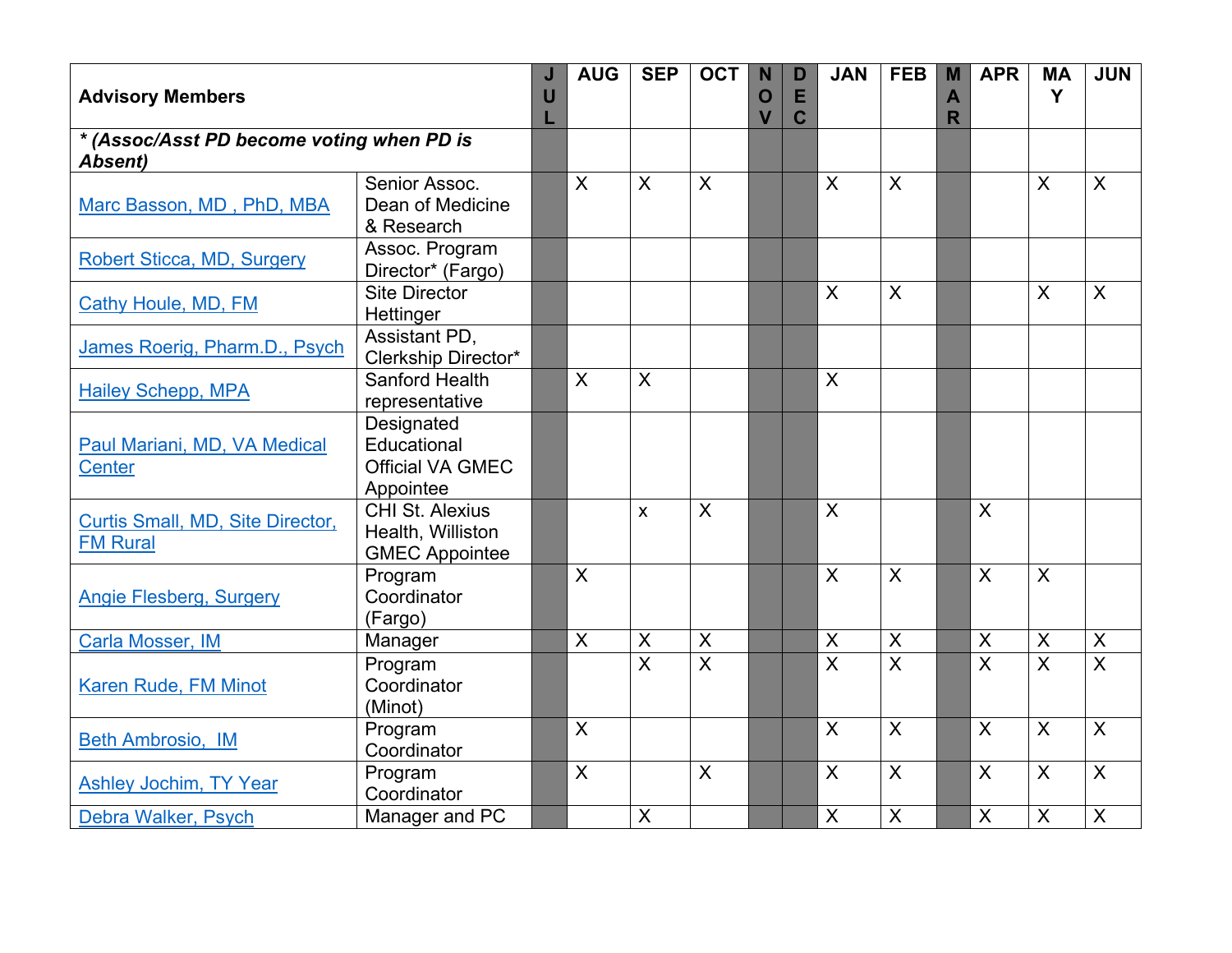| <b>Advisory Members</b>                                     |                                                                      | J<br>U | <b>AUG</b>     | <b>SEP</b>                | <b>OCT</b>              | N<br>$\mathbf O$<br>$\overline{\mathsf{V}}$ | D<br>E<br>C | <b>JAN</b>              | <b>FEB</b>              | M<br>A<br>R | <b>APR</b>              | <b>MA</b><br>Y          | <b>JUN</b>              |
|-------------------------------------------------------------|----------------------------------------------------------------------|--------|----------------|---------------------------|-------------------------|---------------------------------------------|-------------|-------------------------|-------------------------|-------------|-------------------------|-------------------------|-------------------------|
| * (Assoc/Asst PD become voting when PD is<br><b>Absent)</b> |                                                                      |        |                |                           |                         |                                             |             |                         |                         |             |                         |                         |                         |
| Marc Basson, MD, PhD, MBA                                   | Senior Assoc.<br>Dean of Medicine<br>& Research                      |        | $\overline{X}$ | $\sf X$                   | $\overline{X}$          |                                             |             | $\sf X$                 | $\overline{X}$          |             |                         | $\sf X$                 | $\overline{X}$          |
| <b>Robert Sticca, MD, Surgery</b>                           | Assoc. Program<br>Director* (Fargo)                                  |        |                |                           |                         |                                             |             |                         |                         |             |                         |                         |                         |
| <b>Cathy Houle, MD, FM</b>                                  | <b>Site Director</b><br>Hettinger                                    |        |                |                           |                         |                                             |             | $\sf X$                 | $\mathsf{X}$            |             |                         | $\boldsymbol{X}$        | $\mathsf{X}$            |
| James Roerig, Pharm.D., Psych                               | Assistant PD,<br>Clerkship Director*                                 |        |                |                           |                         |                                             |             |                         |                         |             |                         |                         |                         |
| <b>Hailey Schepp, MPA</b>                                   | Sanford Health<br>representative                                     |        | $\overline{X}$ | $\sf X$                   |                         |                                             |             | $\sf X$                 |                         |             |                         |                         |                         |
| Paul Mariani, MD, VA Medical<br><b>Center</b>               | Designated<br>Educational<br><b>Official VA GMEC</b><br>Appointee    |        |                |                           |                         |                                             |             |                         |                         |             |                         |                         |                         |
| Curtis Small, MD, Site Director,<br><b>FM Rural</b>         | <b>CHI St. Alexius</b><br>Health, Williston<br><b>GMEC Appointee</b> |        |                | X                         | $\overline{X}$          |                                             |             | $\sf X$                 |                         |             | $\overline{\mathsf{X}}$ |                         |                         |
| <b>Angie Flesberg, Surgery</b>                              | Program<br>Coordinator<br>(Fargo)                                    |        | $\mathsf{X}$   |                           |                         |                                             |             | $\sf X$                 | $\overline{X}$          |             | $\sf X$                 | $\mathsf{X}$            |                         |
| Carla Mosser, IM                                            | Manager                                                              |        | $\overline{X}$ | $\mathsf X$               | X                       |                                             |             | X                       | $\pmb{\times}$          |             | X                       | $\overline{X}$          | $\overline{X}$          |
| Karen Rude, FM Minot                                        | Program<br>Coordinator<br>(Minot)                                    |        |                | $\overline{\mathsf{x}}$   | $\overline{\mathsf{x}}$ |                                             |             | $\overline{\mathsf{x}}$ | $\overline{\mathsf{X}}$ |             | $\overline{\mathsf{x}}$ | $\overline{\mathsf{x}}$ | $\overline{\mathsf{x}}$ |
| <b>Beth Ambrosio, IM</b>                                    | Program<br>Coordinator                                               |        | $\mathsf{X}$   |                           |                         |                                             |             | $\sf X$                 | $\overline{X}$          |             | $\overline{X}$          | $\overline{X}$          | $\overline{X}$          |
| Ashley Jochim, TY Year                                      | Program<br>Coordinator                                               |        | $\mathsf{X}$   |                           | X                       |                                             |             | $\sf X$                 | $\mathsf{X}$            |             | $\mathsf{X}$            | $\mathsf{X}$            | $\mathsf{X}$            |
| Debra Walker, Psych                                         | Manager and PC                                                       |        |                | $\boldsymbol{\mathsf{X}}$ |                         |                                             |             | $\sf X$                 | $\sf X$                 |             | $\overline{X}$          | $\overline{\mathsf{x}}$ | $\overline{\mathsf{X}}$ |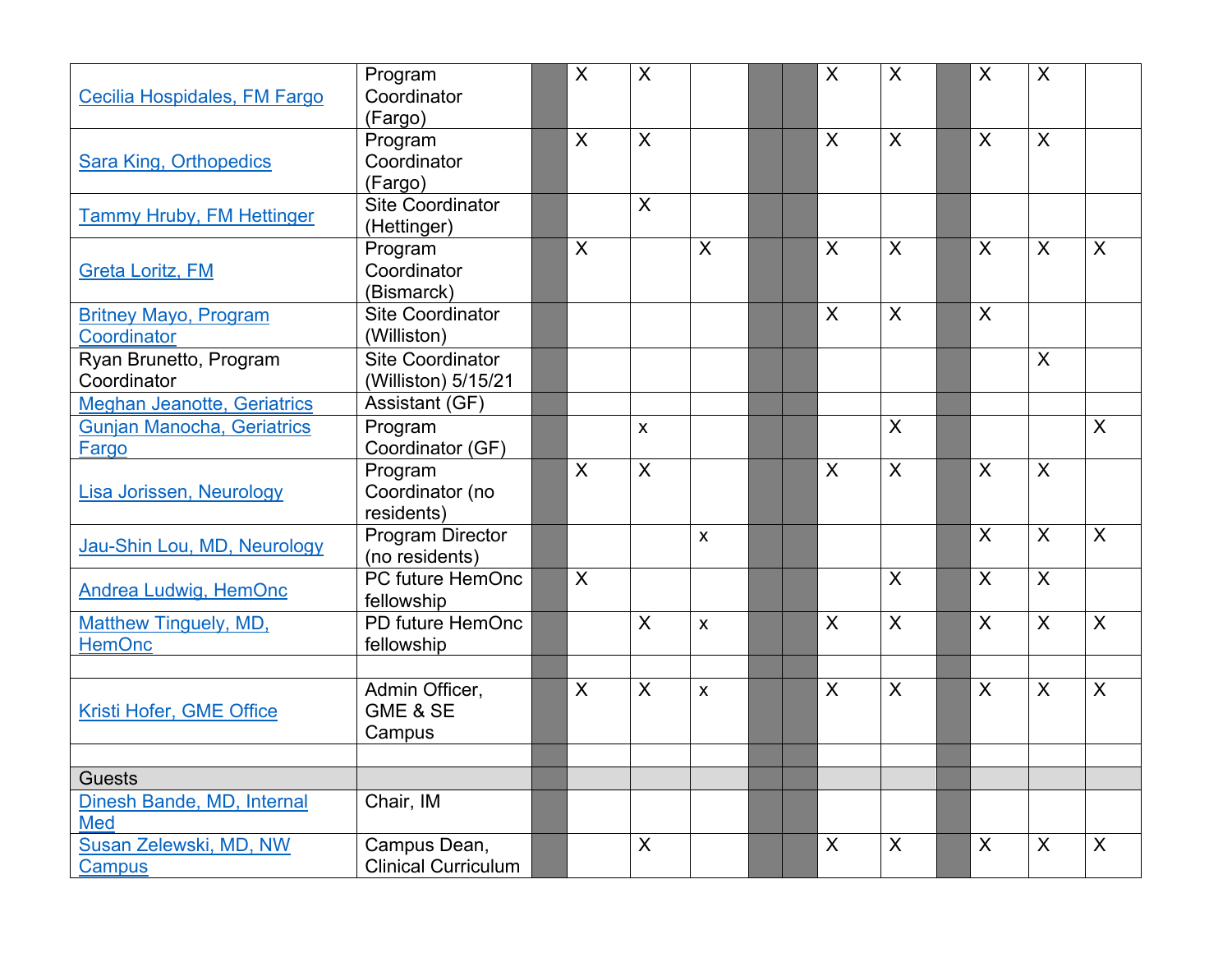|                                                                                                                                                                                                                                                                                                                                                                                                                                                                                                                                                                                                                                                                                                                                                                                                                                                                                                                                                                                                                                                           | Program                                                                                                                                                                                                                                                                                                                                                                                     |  | $\boldsymbol{X}$ | X                         |                         | $\boldsymbol{X}$          | $\boldsymbol{X}$          | $\sf X$                   | X                       |              |
|-----------------------------------------------------------------------------------------------------------------------------------------------------------------------------------------------------------------------------------------------------------------------------------------------------------------------------------------------------------------------------------------------------------------------------------------------------------------------------------------------------------------------------------------------------------------------------------------------------------------------------------------------------------------------------------------------------------------------------------------------------------------------------------------------------------------------------------------------------------------------------------------------------------------------------------------------------------------------------------------------------------------------------------------------------------|---------------------------------------------------------------------------------------------------------------------------------------------------------------------------------------------------------------------------------------------------------------------------------------------------------------------------------------------------------------------------------------------|--|------------------|---------------------------|-------------------------|---------------------------|---------------------------|---------------------------|-------------------------|--------------|
| Cecilia Hospidales, FM Fargo                                                                                                                                                                                                                                                                                                                                                                                                                                                                                                                                                                                                                                                                                                                                                                                                                                                                                                                                                                                                                              | Coordinator                                                                                                                                                                                                                                                                                                                                                                                 |  |                  |                           |                         |                           |                           |                           |                         |              |
|                                                                                                                                                                                                                                                                                                                                                                                                                                                                                                                                                                                                                                                                                                                                                                                                                                                                                                                                                                                                                                                           | (Fargo)                                                                                                                                                                                                                                                                                                                                                                                     |  |                  |                           |                         |                           |                           |                           |                         |              |
|                                                                                                                                                                                                                                                                                                                                                                                                                                                                                                                                                                                                                                                                                                                                                                                                                                                                                                                                                                                                                                                           | Program                                                                                                                                                                                                                                                                                                                                                                                     |  | X                | $\boldsymbol{\mathsf{X}}$ |                         | $\sf X$                   | $\boldsymbol{X}$          | X                         | X                       |              |
| <b>Sara King, Orthopedics</b>                                                                                                                                                                                                                                                                                                                                                                                                                                                                                                                                                                                                                                                                                                                                                                                                                                                                                                                                                                                                                             | Coordinator                                                                                                                                                                                                                                                                                                                                                                                 |  |                  |                           |                         |                           |                           |                           |                         |              |
| (Fargo)<br><b>Site Coordinator</b><br><b>Tammy Hruby, FM Hettinger</b><br>(Hettinger)<br>$\sf X$<br>Program<br>Coordinator<br><b>Greta Loritz, FM</b><br>(Bismarck)<br><b>Site Coordinator</b><br><b>Britney Mayo, Program</b><br>(Williston)<br><b>Coordinator</b><br>Ryan Brunetto, Program<br><b>Site Coordinator</b><br>Coordinator<br>(Williston) 5/15/21<br><b>Meghan Jeanotte, Geriatrics</b><br>Assistant (GF)<br><b>Gunjan Manocha, Geriatrics</b><br>Program<br>Coordinator (GF)<br>Fargo<br>$\overline{\mathsf{X}}$<br>Program<br>Lisa Jorissen, Neurology<br>Coordinator (no<br>residents)<br>Program Director<br>Jau-Shin Lou, MD, Neurology<br>(no residents)<br>$\boldsymbol{\mathsf{X}}$<br>PC future HemOnc<br><b>Andrea Ludwig, HemOnc</b><br>fellowship<br>PD future HemOnc<br><b>Matthew Tinguely, MD,</b><br><b>HemOnc</b><br>fellowship<br>$\sf X$<br>Admin Officer,<br>GME & SE<br>Kristi Hofer, GME Office<br>Campus<br><b>Guests</b><br>Chair, IM<br>Dinesh Bande, MD, Internal<br>Med<br>Susan Zelewski, MD, NW<br>Campus Dean, |                                                                                                                                                                                                                                                                                                                                                                                             |  |                  |                           |                         |                           |                           |                           |                         |              |
|                                                                                                                                                                                                                                                                                                                                                                                                                                                                                                                                                                                                                                                                                                                                                                                                                                                                                                                                                                                                                                                           |                                                                                                                                                                                                                                                                                                                                                                                             |  |                  | $\boldsymbol{\mathsf{X}}$ |                         |                           |                           |                           |                         |              |
|                                                                                                                                                                                                                                                                                                                                                                                                                                                                                                                                                                                                                                                                                                                                                                                                                                                                                                                                                                                                                                                           |                                                                                                                                                                                                                                                                                                                                                                                             |  |                  |                           |                         |                           |                           |                           |                         |              |
|                                                                                                                                                                                                                                                                                                                                                                                                                                                                                                                                                                                                                                                                                                                                                                                                                                                                                                                                                                                                                                                           |                                                                                                                                                                                                                                                                                                                                                                                             |  |                  |                           | $\overline{\mathsf{X}}$ | $\boldsymbol{\mathsf{X}}$ | $\sf X$                   | $\boldsymbol{\mathsf{X}}$ | X                       | $\mathsf{X}$ |
|                                                                                                                                                                                                                                                                                                                                                                                                                                                                                                                                                                                                                                                                                                                                                                                                                                                                                                                                                                                                                                                           |                                                                                                                                                                                                                                                                                                                                                                                             |  |                  |                           |                         |                           |                           |                           |                         |              |
|                                                                                                                                                                                                                                                                                                                                                                                                                                                                                                                                                                                                                                                                                                                                                                                                                                                                                                                                                                                                                                                           |                                                                                                                                                                                                                                                                                                                                                                                             |  |                  |                           |                         |                           |                           |                           |                         |              |
|                                                                                                                                                                                                                                                                                                                                                                                                                                                                                                                                                                                                                                                                                                                                                                                                                                                                                                                                                                                                                                                           |                                                                                                                                                                                                                                                                                                                                                                                             |  |                  |                           |                         | $\sf X$                   | $\overline{X}$            | $\overline{X}$            |                         |              |
|                                                                                                                                                                                                                                                                                                                                                                                                                                                                                                                                                                                                                                                                                                                                                                                                                                                                                                                                                                                                                                                           |                                                                                                                                                                                                                                                                                                                                                                                             |  |                  |                           |                         |                           |                           |                           |                         |              |
|                                                                                                                                                                                                                                                                                                                                                                                                                                                                                                                                                                                                                                                                                                                                                                                                                                                                                                                                                                                                                                                           |                                                                                                                                                                                                                                                                                                                                                                                             |  |                  |                           |                         |                           |                           |                           | X                       |              |
|                                                                                                                                                                                                                                                                                                                                                                                                                                                                                                                                                                                                                                                                                                                                                                                                                                                                                                                                                                                                                                                           |                                                                                                                                                                                                                                                                                                                                                                                             |  |                  |                           |                         |                           |                           |                           |                         |              |
|                                                                                                                                                                                                                                                                                                                                                                                                                                                                                                                                                                                                                                                                                                                                                                                                                                                                                                                                                                                                                                                           |                                                                                                                                                                                                                                                                                                                                                                                             |  |                  |                           |                         |                           |                           |                           |                         |              |
|                                                                                                                                                                                                                                                                                                                                                                                                                                                                                                                                                                                                                                                                                                                                                                                                                                                                                                                                                                                                                                                           |                                                                                                                                                                                                                                                                                                                                                                                             |  |                  | $\boldsymbol{\mathsf{X}}$ |                         |                           | $\boldsymbol{\mathsf{X}}$ |                           |                         | X            |
|                                                                                                                                                                                                                                                                                                                                                                                                                                                                                                                                                                                                                                                                                                                                                                                                                                                                                                                                                                                                                                                           |                                                                                                                                                                                                                                                                                                                                                                                             |  |                  |                           |                         |                           |                           |                           |                         |              |
|                                                                                                                                                                                                                                                                                                                                                                                                                                                                                                                                                                                                                                                                                                                                                                                                                                                                                                                                                                                                                                                           |                                                                                                                                                                                                                                                                                                                                                                                             |  |                  | $\overline{\mathsf{X}}$   |                         | $\sf X$                   | $\sf X$                   | $\overline{X}$            | $\sf X$                 |              |
|                                                                                                                                                                                                                                                                                                                                                                                                                                                                                                                                                                                                                                                                                                                                                                                                                                                                                                                                                                                                                                                           |                                                                                                                                                                                                                                                                                                                                                                                             |  |                  |                           |                         |                           |                           |                           |                         |              |
|                                                                                                                                                                                                                                                                                                                                                                                                                                                                                                                                                                                                                                                                                                                                                                                                                                                                                                                                                                                                                                                           |                                                                                                                                                                                                                                                                                                                                                                                             |  |                  |                           |                         |                           |                           |                           |                         |              |
|                                                                                                                                                                                                                                                                                                                                                                                                                                                                                                                                                                                                                                                                                                                                                                                                                                                                                                                                                                                                                                                           |                                                                                                                                                                                                                                                                                                                                                                                             |  |                  |                           | $\mathsf{x}$            |                           |                           | $\overline{X}$            | $\overline{\mathsf{X}}$ | $\mathsf{X}$ |
|                                                                                                                                                                                                                                                                                                                                                                                                                                                                                                                                                                                                                                                                                                                                                                                                                                                                                                                                                                                                                                                           | $\boldsymbol{X}$<br>$\sf X$<br>$\mathsf{X}$<br>$\sf X$<br>$\boldsymbol{\mathsf{X}}$<br>$\boldsymbol{\mathsf{X}}$<br>$\boldsymbol{\mathsf{X}}$<br>X<br>X<br>$\pmb{\mathsf{X}}$<br>X<br>$\sf X$<br>$\sf X$<br>$\boldsymbol{X}$<br>$\mathsf{X}$<br>$\sf X$<br>$\mathsf{x}$<br>$\mathsf{X}$<br>$\mathsf{X}$<br>$\mathsf{X}$<br>$\mathsf{X}$<br>$\sf X$<br>$\sf X$<br><b>Clinical Curriculum</b> |  |                  |                           |                         |                           |                           |                           |                         |              |
|                                                                                                                                                                                                                                                                                                                                                                                                                                                                                                                                                                                                                                                                                                                                                                                                                                                                                                                                                                                                                                                           |                                                                                                                                                                                                                                                                                                                                                                                             |  |                  |                           |                         |                           |                           |                           |                         |              |
|                                                                                                                                                                                                                                                                                                                                                                                                                                                                                                                                                                                                                                                                                                                                                                                                                                                                                                                                                                                                                                                           |                                                                                                                                                                                                                                                                                                                                                                                             |  |                  |                           |                         |                           |                           |                           |                         |              |
|                                                                                                                                                                                                                                                                                                                                                                                                                                                                                                                                                                                                                                                                                                                                                                                                                                                                                                                                                                                                                                                           |                                                                                                                                                                                                                                                                                                                                                                                             |  |                  |                           |                         |                           |                           |                           |                         |              |
|                                                                                                                                                                                                                                                                                                                                                                                                                                                                                                                                                                                                                                                                                                                                                                                                                                                                                                                                                                                                                                                           |                                                                                                                                                                                                                                                                                                                                                                                             |  |                  |                           |                         |                           |                           |                           |                         |              |
|                                                                                                                                                                                                                                                                                                                                                                                                                                                                                                                                                                                                                                                                                                                                                                                                                                                                                                                                                                                                                                                           |                                                                                                                                                                                                                                                                                                                                                                                             |  |                  |                           |                         |                           |                           |                           |                         |              |
|                                                                                                                                                                                                                                                                                                                                                                                                                                                                                                                                                                                                                                                                                                                                                                                                                                                                                                                                                                                                                                                           |                                                                                                                                                                                                                                                                                                                                                                                             |  |                  |                           |                         |                           |                           |                           |                         |              |
|                                                                                                                                                                                                                                                                                                                                                                                                                                                                                                                                                                                                                                                                                                                                                                                                                                                                                                                                                                                                                                                           |                                                                                                                                                                                                                                                                                                                                                                                             |  |                  |                           |                         |                           |                           |                           |                         |              |
|                                                                                                                                                                                                                                                                                                                                                                                                                                                                                                                                                                                                                                                                                                                                                                                                                                                                                                                                                                                                                                                           |                                                                                                                                                                                                                                                                                                                                                                                             |  |                  |                           |                         |                           |                           |                           |                         |              |
|                                                                                                                                                                                                                                                                                                                                                                                                                                                                                                                                                                                                                                                                                                                                                                                                                                                                                                                                                                                                                                                           |                                                                                                                                                                                                                                                                                                                                                                                             |  |                  |                           |                         |                           |                           |                           |                         |              |
|                                                                                                                                                                                                                                                                                                                                                                                                                                                                                                                                                                                                                                                                                                                                                                                                                                                                                                                                                                                                                                                           |                                                                                                                                                                                                                                                                                                                                                                                             |  |                  |                           |                         |                           |                           |                           |                         |              |
|                                                                                                                                                                                                                                                                                                                                                                                                                                                                                                                                                                                                                                                                                                                                                                                                                                                                                                                                                                                                                                                           |                                                                                                                                                                                                                                                                                                                                                                                             |  |                  |                           |                         |                           |                           |                           |                         |              |
|                                                                                                                                                                                                                                                                                                                                                                                                                                                                                                                                                                                                                                                                                                                                                                                                                                                                                                                                                                                                                                                           |                                                                                                                                                                                                                                                                                                                                                                                             |  |                  |                           |                         |                           |                           |                           |                         |              |
|                                                                                                                                                                                                                                                                                                                                                                                                                                                                                                                                                                                                                                                                                                                                                                                                                                                                                                                                                                                                                                                           |                                                                                                                                                                                                                                                                                                                                                                                             |  |                  |                           |                         |                           |                           |                           |                         |              |
| <b>Campus</b>                                                                                                                                                                                                                                                                                                                                                                                                                                                                                                                                                                                                                                                                                                                                                                                                                                                                                                                                                                                                                                             |                                                                                                                                                                                                                                                                                                                                                                                             |  |                  |                           |                         |                           |                           |                           |                         |              |